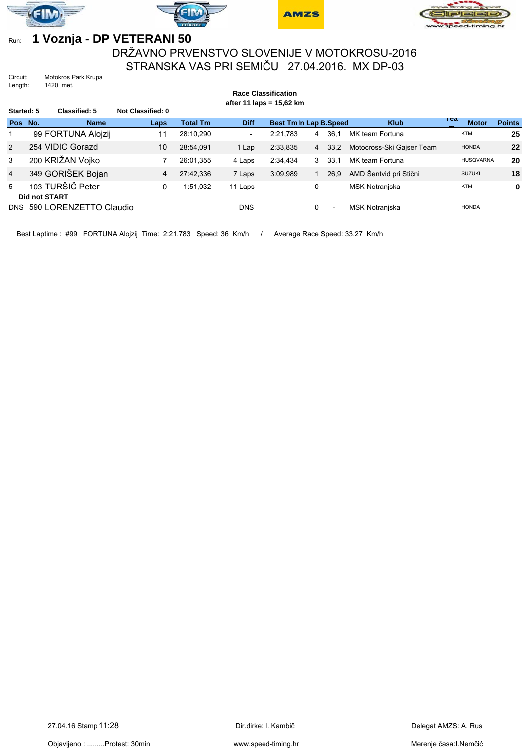







## Run: **\_1 Voznja - DP VETERANI 50**

DRŽAVNO PRVENSTVO SLOVENIJE V MOTOKROSU-2016 STRANSKA VAS PRI SEMIČU 27.04.2016. MX DP-03

Circuit: Motokros Park Krupa<br>Length: 1420 met. 1420 met.

|                | <b>Race Classification</b><br>after 11 laps = $15,62$ km |                        |                   |                 |                          |                              |                |                          |                           |                     |               |  |
|----------------|----------------------------------------------------------|------------------------|-------------------|-----------------|--------------------------|------------------------------|----------------|--------------------------|---------------------------|---------------------|---------------|--|
| Started: 5     |                                                          | Classified: 5          | Not Classified: 0 |                 |                          |                              |                |                          |                           |                     |               |  |
| Pos No.        |                                                          | <b>Name</b>            | Laps              | <b>Total Tm</b> | <b>Diff</b>              | <b>Best Tmln Lap B.Speed</b> |                |                          | <b>Klub</b>               | теа<br><b>Motor</b> | <b>Points</b> |  |
| $\mathbf 1$    |                                                          | 99 FORTUNA Alojzij     | 11                | 28:10.290       | $\overline{\phantom{0}}$ | 2:21.783                     | 4              | 36.1                     | MK team Fortuna           | <b>KTM</b>          | 25            |  |
| 2              |                                                          | 254 VIDIC Gorazd       | 10                | 28:54.091       | 1 Lap                    | 2:33,835                     | $\overline{4}$ | 33,2                     | Motocross-Ski Gajser Team | <b>HONDA</b>        | 22            |  |
| 3              |                                                          | 200 KRIŽAN Vojko       |                   | 26:01.355       | 4 Laps                   | 2:34.434                     | 3              | 33.1                     | MK team Fortuna           | <b>HUSQVARNA</b>    | 20            |  |
| $\overline{4}$ |                                                          | 349 GORIŠEK Bojan      | 4                 | 27:42.336       | 7 Laps                   | 3:09.989                     |                | 26.9                     | AMD Šentvid pri Stični    | <b>SUZUKI</b>       | 18            |  |
| 5              | <b>Did not START</b>                                     | 103 TURŠIČ Peter       | 0                 | 1:51.032        | 11 Laps                  |                              | 0              | $\overline{\phantom{a}}$ | <b>MSK Notranjska</b>     | <b>KTM</b>          | 0             |  |
| DNS            |                                                          | 590 LORENZETTO Claudio |                   |                 | <b>DNS</b>               |                              | 0              | $\overline{\phantom{a}}$ | <b>MSK Notraniska</b>     | <b>HONDA</b>        |               |  |

Best Laptime : #99 FORTUNA Alojzij Time: 2:21,783 Speed: 36 Km/h / Average Race Speed: 33,27 Km/h